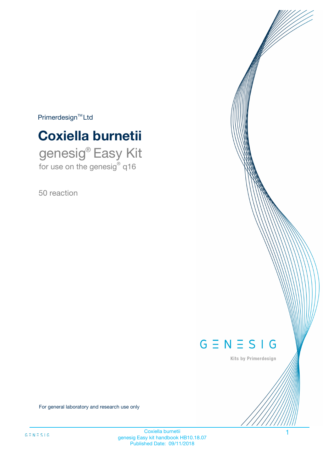$Primerdesign^{\text{TM}}Ltd$ 

# **Coxiella burnetii**

genesig® Easy Kit for use on the genesig® q16

50 reaction



Kits by Primerdesign

For general laboratory and research use only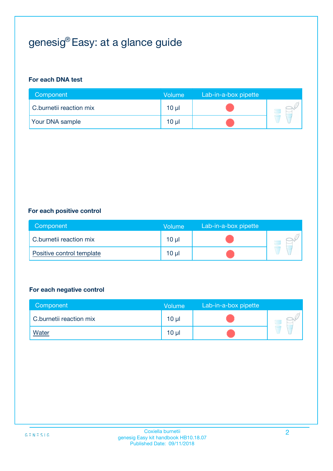# genesig® Easy: at a glance guide

#### **For each DNA test**

| Component               | <b>Volume</b> | Lab-in-a-box pipette |  |
|-------------------------|---------------|----------------------|--|
| C.burnetii reaction mix | 10 µl         |                      |  |
| <b>Your DNA sample</b>  | $10 \mu$      |                      |  |

#### **For each positive control**

| Component                 | Volume          | Lab-in-a-box pipette |  |
|---------------------------|-----------------|----------------------|--|
| C.burnetii reaction mix   | 10 <sub>µ</sub> |                      |  |
| Positive control template | 10 <sub>µ</sub> |                      |  |

#### **For each negative control**

| Component               | <b>Volume</b>   | Lab-in-a-box pipette |  |
|-------------------------|-----------------|----------------------|--|
| C.burnetii reaction mix | 10 <sub>µ</sub> |                      |  |
| <u>Water</u>            | 10 <sub>µ</sub> |                      |  |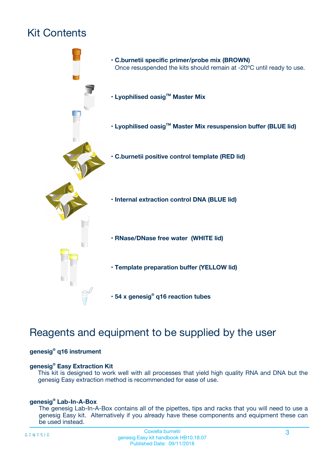# Kit Contents



# Reagents and equipment to be supplied by the user

#### **genesig® q16 instrument**

#### **genesig® Easy Extraction Kit**

This kit is designed to work well with all processes that yield high quality RNA and DNA but the genesig Easy extraction method is recommended for ease of use.

#### **genesig® Lab-In-A-Box**

The genesig Lab-In-A-Box contains all of the pipettes, tips and racks that you will need to use a genesig Easy kit. Alternatively if you already have these components and equipment these can be used instead.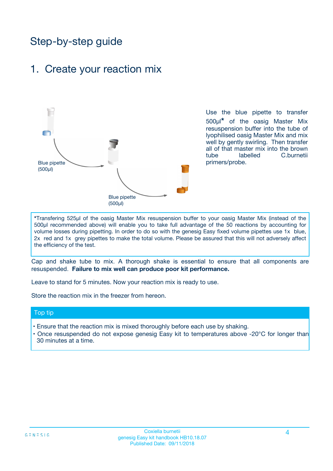# Step-by-step guide

### 1. Create your reaction mix



Use the blue pipette to transfer 500µl**\*** of the oasig Master Mix resuspension buffer into the tube of lyophilised oasig Master Mix and mix well by gently swirling. Then transfer all of that master mix into the brown tube labelled C.burnetii primers/probe.

**\***Transfering 525µl of the oasig Master Mix resuspension buffer to your oasig Master Mix (instead of the 500µl recommended above) will enable you to take full advantage of the 50 reactions by accounting for volume losses during pipetting. In order to do so with the genesig Easy fixed volume pipettes use 1x blue, 2x red and 1x grey pipettes to make the total volume. Please be assured that this will not adversely affect the efficiency of the test.

Cap and shake tube to mix. A thorough shake is essential to ensure that all components are resuspended. **Failure to mix well can produce poor kit performance.**

Leave to stand for 5 minutes. Now your reaction mix is ready to use.

Store the reaction mix in the freezer from hereon.

#### Top tip

- Ensure that the reaction mix is mixed thoroughly before each use by shaking.
- Once resuspended do not expose genesig Easy kit to temperatures above -20°C for longer than 30 minutes at a time.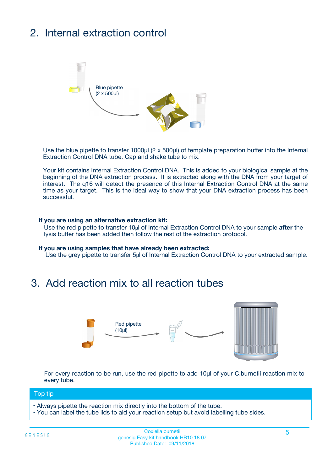# 2. Internal extraction control



Use the blue pipette to transfer 1000µl (2 x 500µl) of template preparation buffer into the Internal Extraction Control DNA tube. Cap and shake tube to mix.

Your kit contains Internal Extraction Control DNA. This is added to your biological sample at the beginning of the DNA extraction process. It is extracted along with the DNA from your target of interest. The q16 will detect the presence of this Internal Extraction Control DNA at the same time as your target. This is the ideal way to show that your DNA extraction process has been successful.

#### **If you are using an alternative extraction kit:**

Use the red pipette to transfer 10µl of Internal Extraction Control DNA to your sample **after** the lysis buffer has been added then follow the rest of the extraction protocol.

#### **If you are using samples that have already been extracted:**

Use the grey pipette to transfer 5µl of Internal Extraction Control DNA to your extracted sample.

### 3. Add reaction mix to all reaction tubes



For every reaction to be run, use the red pipette to add 10µl of your C.burnetii reaction mix to every tube.

#### Top tip

- Always pipette the reaction mix directly into the bottom of the tube.
- You can label the tube lids to aid your reaction setup but avoid labelling tube sides.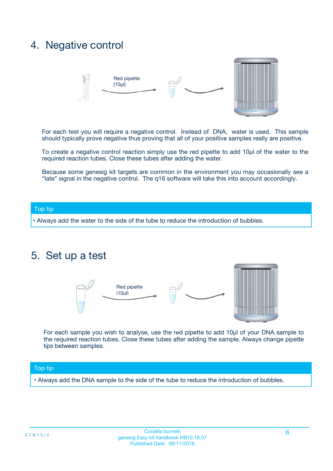### 4. Negative control



For each test you will require a negative control. Instead of DNA, water is used. This sample should typically prove negative thus proving that all of your positive samples really are positive.

To create a negative control reaction simply use the red pipette to add 10µl of the water to the required reaction tubes. Close these tubes after adding the water.

Because some genesig kit targets are common in the environment you may occasionally see a "late" signal in the negative control. The q16 software will take this into account accordingly.

#### Top tip

**•** Always add the water to the side of the tube to reduce the introduction of bubbles.

### 5. Set up a test



For each sample you wish to analyse, use the red pipette to add 10µl of your DNA sample to the required reaction tubes. Close these tubes after adding the sample. Always change pipette tips between samples.

#### Top tip

**•** Always add the DNA sample to the side of the tube to reduce the introduction of bubbles.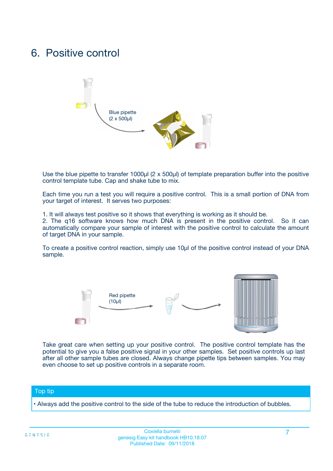### 6. Positive control



Use the blue pipette to transfer 1000µl (2 x 500µl) of template preparation buffer into the positive control template tube. Cap and shake tube to mix.

Each time you run a test you will require a positive control. This is a small portion of DNA from your target of interest. It serves two purposes:

1. It will always test positive so it shows that everything is working as it should be.

2. The q16 software knows how much DNA is present in the positive control. So it can automatically compare your sample of interest with the positive control to calculate the amount of target DNA in your sample.

To create a positive control reaction, simply use 10µl of the positive control instead of your DNA sample.



Take great care when setting up your positive control. The positive control template has the potential to give you a false positive signal in your other samples. Set positive controls up last after all other sample tubes are closed. Always change pipette tips between samples. You may even choose to set up positive controls in a separate room.

#### Top tip

**•** Always add the positive control to the side of the tube to reduce the introduction of bubbles.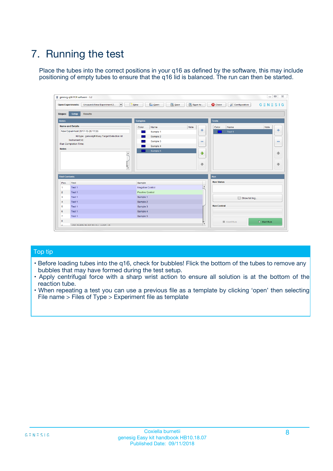# 7. Running the test

Place the tubes into the correct positions in your q16 as defined by the software, this may include positioning of empty tubes to ensure that the q16 lid is balanced. The run can then be started.

| qenesig q16 PCR software - 1.2                                               |                                   | $\Box$                                                                                          |
|------------------------------------------------------------------------------|-----------------------------------|-------------------------------------------------------------------------------------------------|
| $\vert \cdot \vert$<br>Unsaved (New Experiment 2<br><b>Open Experiments:</b> | <b>D</b> Open<br>R <sub>New</sub> | Save<br>Save As<br><b>C</b> Close<br><b>&amp; Configuration</b><br>$G \equiv N \equiv S \mid G$ |
| <b>Setup</b><br><b>Results</b><br>Stages:                                    |                                   |                                                                                                 |
| <b>Notes</b>                                                                 | <b>Samples</b>                    | <b>Tests</b>                                                                                    |
| <b>Name and Details</b>                                                      | Name<br>Color                     | Note<br>Color<br>Note<br>Name                                                                   |
| New Experiment 2017-10-26 11:06                                              | Sample 1                          | ÷<br>条<br>Test 1                                                                                |
| Kit type: genesig® Easy Target Detection kit                                 | Sample 2                          |                                                                                                 |
| Instrument Id.:                                                              | Sample 3                          | $\qquad \qquad \blacksquare$<br>$\qquad \qquad \blacksquare$                                    |
| <b>Run Completion Time:</b>                                                  | Sample 4                          |                                                                                                 |
| <b>Notes</b><br><b>A</b><br>$\overline{\mathbf v}$                           | Sample 5                          | ♦<br>4<br>÷<br>₩                                                                                |
| <b>Well Contents</b>                                                         |                                   | <b>Run</b>                                                                                      |
| Pos.<br>Test                                                                 | Sample                            | <b>Run Status</b>                                                                               |
| Test 1<br>$\blacktriangleleft$                                               | Negative Control                  | $\blacktriangle$                                                                                |
| $\overline{2}$<br>Test 1                                                     | <b>Positive Control</b>           |                                                                                                 |
| $\overline{\mathbf{3}}$<br>Test 1                                            | Sample 1                          | Show full log                                                                                   |
| Test 1<br>4                                                                  | Sample 2                          |                                                                                                 |
| 5<br>Test 1                                                                  | Sample 3                          | <b>Run Control</b>                                                                              |
| Test 1<br>6                                                                  | Sample 4                          |                                                                                                 |
| $\overline{7}$<br>Test 1                                                     | Sample 5                          |                                                                                                 |
| 8                                                                            |                                   | $\triangleright$ Start Run<br>Abort Run                                                         |
| <b>JOD FURTY TUDE TO BUILDED IN</b>                                          |                                   | $\overline{\mathbf{v}}$                                                                         |

#### Top tip

- Before loading tubes into the q16, check for bubbles! Flick the bottom of the tubes to remove any bubbles that may have formed during the test setup.
- Apply centrifugal force with a sharp wrist action to ensure all solution is at the bottom of the reaction tube.
- When repeating a test you can use a previous file as a template by clicking 'open' then selecting File name > Files of Type > Experiment file as template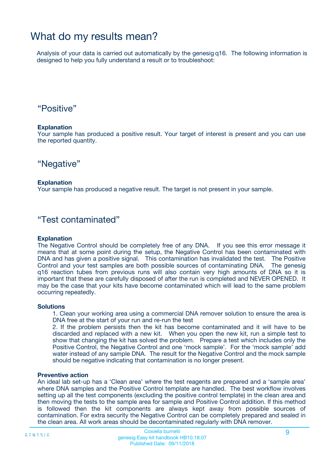### What do my results mean?

Analysis of your data is carried out automatically by the genesig q16. The following information is designed to help you fully understand a result or to troubleshoot:

### "Positive"

#### **Explanation**

Your sample has produced a positive result. Your target of interest is present and you can use the reported quantity.

"Negative"

#### **Explanation**

Your sample has produced a negative result. The target is not present in your sample.

### "Test contaminated"

#### **Explanation**

The Negative Control should be completely free of any DNA. If you see this error message it means that at some point during the setup, the Negative Control has been contaminated with DNA and has given a positive signal. This contamination has invalidated the test. The Positive Control and your test samples are both possible sources of contaminating DNA. The genesig q16 reaction tubes from previous runs will also contain very high amounts of DNA so it is important that these are carefully disposed of after the run is completed and NEVER OPENED. It may be the case that your kits have become contaminated which will lead to the same problem occurring repeatedly.

#### **Solutions**

1. Clean your working area using a commercial DNA remover solution to ensure the area is DNA free at the start of your run and re-run the test

2. If the problem persists then the kit has become contaminated and it will have to be discarded and replaced with a new kit. When you open the new kit, run a simple test to show that changing the kit has solved the problem. Prepare a test which includes only the Positive Control, the Negative Control and one 'mock sample'. For the 'mock sample' add water instead of any sample DNA. The result for the Negative Control and the mock sample should be negative indicating that contamination is no longer present.

#### **Preventive action**

An ideal lab set-up has a 'Clean area' where the test reagents are prepared and a 'sample area' where DNA samples and the Positive Control template are handled. The best workflow involves setting up all the test components (excluding the positive control template) in the clean area and then moving the tests to the sample area for sample and Positive Control addition. If this method is followed then the kit components are always kept away from possible sources of contamination. For extra security the Negative Control can be completely prepared and sealed in the clean area. All work areas should be decontaminated regularly with DNA remover.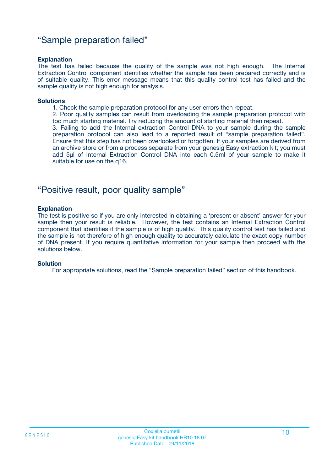### "Sample preparation failed"

#### **Explanation**

The test has failed because the quality of the sample was not high enough. The Internal Extraction Control component identifies whether the sample has been prepared correctly and is of suitable quality. This error message means that this quality control test has failed and the sample quality is not high enough for analysis.

#### **Solutions**

1. Check the sample preparation protocol for any user errors then repeat.

2. Poor quality samples can result from overloading the sample preparation protocol with too much starting material. Try reducing the amount of starting material then repeat.

3. Failing to add the Internal extraction Control DNA to your sample during the sample preparation protocol can also lead to a reported result of "sample preparation failed". Ensure that this step has not been overlooked or forgotten. If your samples are derived from an archive store or from a process separate from your genesig Easy extraction kit; you must add 5µl of Internal Extraction Control DNA into each 0.5ml of your sample to make it suitable for use on the q16.

### "Positive result, poor quality sample"

#### **Explanation**

The test is positive so if you are only interested in obtaining a 'present or absent' answer for your sample then your result is reliable. However, the test contains an Internal Extraction Control component that identifies if the sample is of high quality. This quality control test has failed and the sample is not therefore of high enough quality to accurately calculate the exact copy number of DNA present. If you require quantitative information for your sample then proceed with the solutions below.

#### **Solution**

For appropriate solutions, read the "Sample preparation failed" section of this handbook.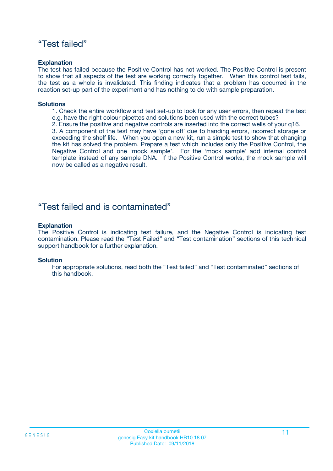### "Test failed"

#### **Explanation**

The test has failed because the Positive Control has not worked. The Positive Control is present to show that all aspects of the test are working correctly together. When this control test fails, the test as a whole is invalidated. This finding indicates that a problem has occurred in the reaction set-up part of the experiment and has nothing to do with sample preparation.

#### **Solutions**

- 1. Check the entire workflow and test set-up to look for any user errors, then repeat the test e.g. have the right colour pipettes and solutions been used with the correct tubes?
- 2. Ensure the positive and negative controls are inserted into the correct wells of your q16.

3. A component of the test may have 'gone off' due to handing errors, incorrect storage or exceeding the shelf life. When you open a new kit, run a simple test to show that changing the kit has solved the problem. Prepare a test which includes only the Positive Control, the Negative Control and one 'mock sample'. For the 'mock sample' add internal control template instead of any sample DNA. If the Positive Control works, the mock sample will now be called as a negative result.

### "Test failed and is contaminated"

#### **Explanation**

The Positive Control is indicating test failure, and the Negative Control is indicating test contamination. Please read the "Test Failed" and "Test contamination" sections of this technical support handbook for a further explanation.

#### **Solution**

For appropriate solutions, read both the "Test failed" and "Test contaminated" sections of this handbook.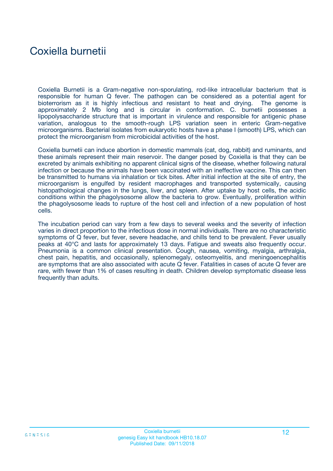## Coxiella burnetii

Coxiella Burnetii is a Gram-negative non-sporulating, rod-like intracellular bacterium that is responsible for human Q fever. The pathogen can be considered as a potential agent for bioterrorism as it is highly infectious and resistant to heat and drying. The genome is approximately 2 Mb long and is circular in conformation. C. burnetii possesses a lipopolysaccharide structure that is important in virulence and responsible for antigenic phase variation, analogous to the smooth-rough LPS variation seen in enteric Gram-negative microorganisms. Bacterial isolates from eukaryotic hosts have a phase I (smooth) LPS, which can protect the microorganism from microbicidal activities of the host.

Coxiella burnetii can induce abortion in domestic mammals (cat, dog, rabbit) and ruminants, and these animals represent their main reservoir. The danger posed by Coxiella is that they can be excreted by animals exhibiting no apparent clinical signs of the disease, whether following natural infection or because the animals have been vaccinated with an ineffective vaccine. This can then be transmitted to humans via inhalation or tick bites. After initial infection at the site of entry, the microorganism is engulfed by resident macrophages and transported systemically, causing histopathological changes in the lungs, liver, and spleen. After uptake by host cells, the acidic conditions within the phagolysosome allow the bacteria to grow. Eventually, proliferation within the phagolysosome leads to rupture of the host cell and infection of a new population of host cells.

The incubation period can vary from a few days to several weeks and the severity of infection varies in direct proportion to the infectious dose in normal individuals. There are no characteristic symptoms of Q fever, but fever, severe headache, and chills tend to be prevalent. Fever usually peaks at 40°C and lasts for approximately 13 days. Fatigue and sweats also frequently occur. Pneumonia is a common clinical presentation. Cough, nausea, vomiting, myalgia, arthralgia, chest pain, hepatitis, and occasionally, splenomegaly, osteomyelitis, and meningoencephalitis are symptoms that are also associated with acute Q fever. Fatalities in cases of acute Q fever are rare, with fewer than 1% of cases resulting in death. Children develop symptomatic disease less frequently than adults.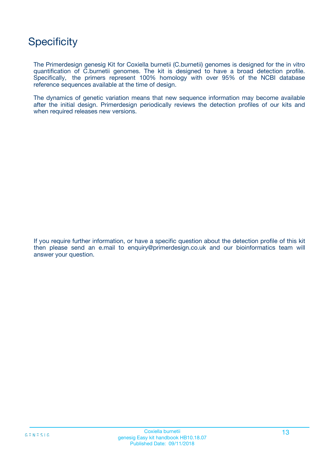# **Specificity**

The Primerdesign genesig Kit for Coxiella burnetii (C.burnetii) genomes is designed for the in vitro quantification of C.burnetii genomes. The kit is designed to have a broad detection profile. Specifically, the primers represent 100% homology with over 95% of the NCBI database reference sequences available at the time of design.

The dynamics of genetic variation means that new sequence information may become available after the initial design. Primerdesign periodically reviews the detection profiles of our kits and when required releases new versions.

If you require further information, or have a specific question about the detection profile of this kit then please send an e.mail to enquiry@primerdesign.co.uk and our bioinformatics team will answer your question.